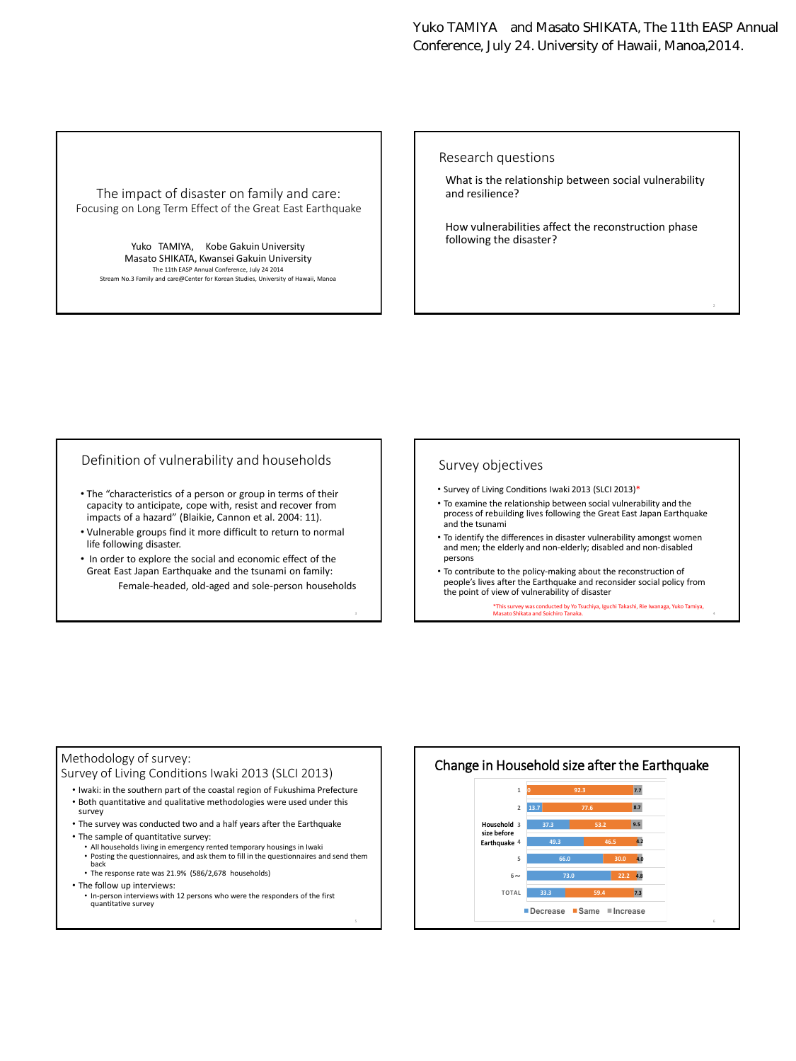Yuko TAMIYA and Masato SHIKATA, The 11th EASP Annual Conference, July 24. University of Hawaii, Manoa,2014.

#### The impact of disaster on family and care: Focusing on Long Term Effect of the Great East Earthquake

Yuko TAMIYA, Kobe Gakuin University Masato SHIKATA, Kwansei Gakuin University The 11th EASP Annual Conference, July 24 2014 Stream No.3 Family and care@Center for Korean Studies, University of Hawaii, Manoa

#### Research questions

What is the relationship between social vulnerability and resilience?

How vulnerabilities affect the reconstruction phase following the disaster?

### Definition of vulnerability and households

- The "characteristics of a person or group in terms of their capacity to anticipate, cope with, resist and recover from impacts of a hazard" (Blaikie, Cannon et al. 2004: 11).
- Vulnerable groups find it more difficult to return to normal life following disaster.
- In order to explore the social and economic effect of the Great East Japan Earthquake and the tsunami on family: Female-headed, old-aged and sole-person households

#### Survey objectives

- Survey of Living Conditions Iwaki 2013 (SLCI 2013)\*
- To examine the relationship between social vulnerability and the process of rebuilding lives following the Great East Japan Earthquake and the tsunami
- To identify the differences in disaster vulnerability amongst women and men; the elderly and non-elderly; disabled and non-disabled persons
- To contribute to the policy-making about the reconstruction of people's lives after the Earthquake and reconsider social policy from the point of view of vulnerability of disaster

\*This survey was conducted by Yo Tsuchiya, Iguchi Takashi, Rie Iwanaga, Yuko Tamiya, Masato Shikata and Soichiro Tanaka. <sup>4</sup>

### Methodology of survey:

Survey of Living Conditions Iwaki 2013 (SLCI 2013)

- Iwaki: in the southern part of the coastal region of Fukushima Prefecture • Both quantitative and qualitative methodologies were used under this survey
- The survey was conducted two and a half years after the Earthquake
- The sample of quantitative survey:
	- All households living in emergency rented temporary housings in Iwaki Posting the questionnaires, and ask them to fill in the questionnaires and send them back
	- The response rate was 21.9% (586/2,678 households)
- The follow up interviews:
	- In-person interviews with 12 persons who were the responders of the first quantitative survey

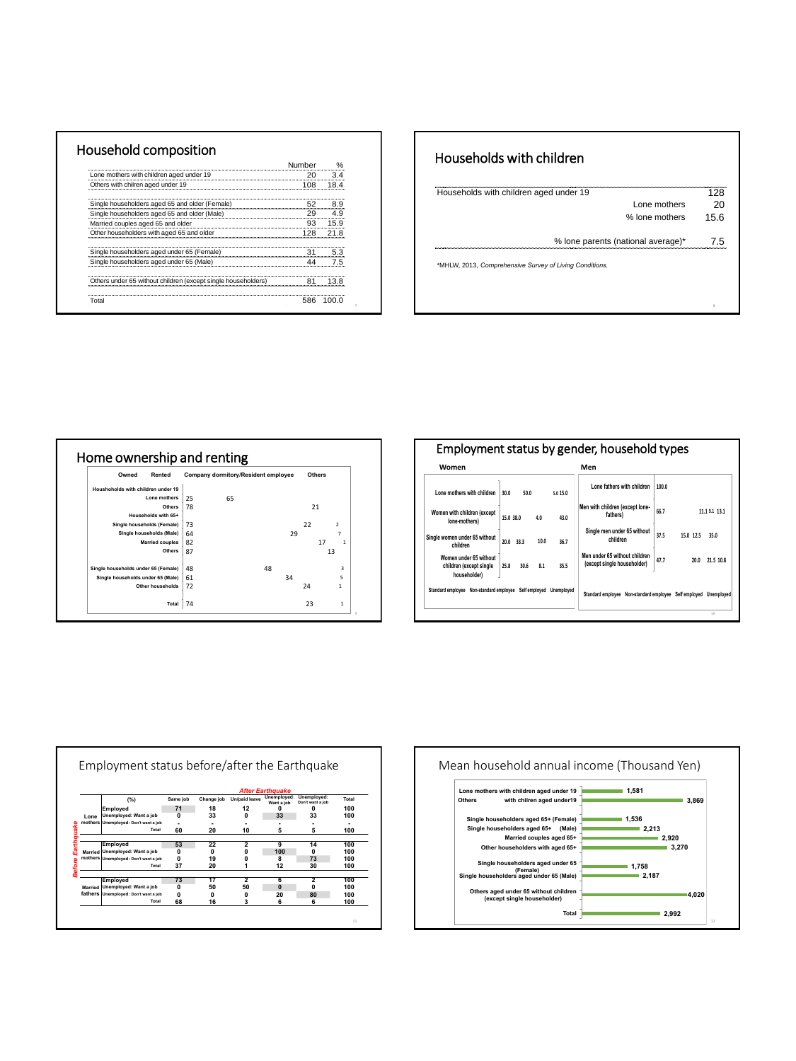|                                                               | Numher |       |
|---------------------------------------------------------------|--------|-------|
| Lone mothers with children aged under 19                      | 20     | 3.4   |
| Others with chilren aged under 19                             | 108    | 184   |
| Single householders aged 65 and older (Female)                | 52     | 8.9   |
| Single householders aged 65 and older (Male)                  | 29     | 4.9   |
| Married couples aged 65 and older                             | 93     | 15.9  |
| Other householders with aged 65 and older                     | 128    |       |
| Single householders aged under 65 (Female)                    | 31     | 5.3   |
| Single householders aged under 65 (Male)                      |        | 75    |
| Others under 65 without children (except single householders) |        |       |
| Total                                                         | 586    | 100 O |

### Households with children

| Households with children aged under 19                  | 128  |
|---------------------------------------------------------|------|
| Lone mothers                                            | 20   |
| % lone mothers                                          | 15.6 |
| % lone parents (national average)*                      | 75   |
| *MHLW, 2013, Comprehensive Survey of Living Conditions. |      |
|                                                         |      |
|                                                         |      |
|                                                         |      |



| Employment status by gender, household types                      |                      |          |                                                              |       |           |              |
|-------------------------------------------------------------------|----------------------|----------|--------------------------------------------------------------|-------|-----------|--------------|
| Women                                                             |                      |          | Men                                                          |       |           |              |
| Lone mothers with children                                        | 30.0<br>50.0         | 5.0 15.0 | Lone fathers with children                                   | 100.0 |           |              |
| Women with children (except<br>lone-mothers)                      | 15.0 38.0<br>4.0     | 43.0     | Men with children (except lone-<br>fathers)                  | 66.7  |           | 11.19.1 13.1 |
| Single women under 65 without<br>children                         | 10.0<br>20.0<br>33.3 | 36.7     | Single men under 65 without<br>children                      | 37.5  | 15.0 12.5 | 35.0         |
| Women under 65 without<br>children (except single<br>householder) | 25.8<br>30.6<br>8.1  | 35.5     | Men under 65 without children<br>(except single householder) | 47.7  | 20.0      | 21.5 10.8    |
| Standard employee Non-standard employee Self employed Unemployed  |                      |          | Standard employee Non-standard employee Self employed        |       |           | Unemployed   |
|                                                                   |                      |          |                                                              |       |           | 10           |

|         |                                      | <b>After Earthquake</b> |                 |                |                           |                                 |       |
|---------|--------------------------------------|-------------------------|-----------------|----------------|---------------------------|---------------------------------|-------|
|         | (%)                                  | Same job                | Change job      | Un/paid leave  | Unemployed:<br>Want a job | Unemployed:<br>Don't want a job | Total |
|         | Employed                             | 71                      | 18              | 12             | 0                         | 0                               | 100   |
| Lone    | Unemploved: Want a job               | $\mathbf{0}$            | 33              | $\mathbf{0}$   | 33                        | 33                              | 100   |
|         | mothers Unemployed: Don't want a job | ٠                       |                 |                |                           |                                 |       |
|         | Total                                | 60                      | 20              | 10             | 5                         | 5                               | 100   |
|         |                                      |                         |                 |                |                           |                                 |       |
|         | Employed                             | 53                      | 22              | $\overline{2}$ | 9                         | 14                              | 100   |
|         | Married Unemploved: Want a job       | 0                       | 0               | 0              | 100                       | 0                               | 100   |
|         | mothers Unemployed: Don't want a job | 0                       | 19              | n              | 8                         | 73                              | 100   |
|         | Total                                | 37                      | 20              |                | 12                        | 30                              | 100   |
|         |                                      |                         |                 |                |                           |                                 |       |
|         | Employed                             | 73                      | $\overline{17}$ | $\overline{2}$ | 6                         | $\overline{2}$                  | 100   |
| Married | Unemployed: Want a job               | 0                       | 50              | 50             | $\Omega$                  | $\mathbf{0}$                    | 100   |
|         | fathers Unemployed: Don't want a job | 0                       | 0               | 0              | 20                        | 80                              | 100   |
|         | Total                                | 68                      | 16              | 3              | 6                         | 6                               | 100   |